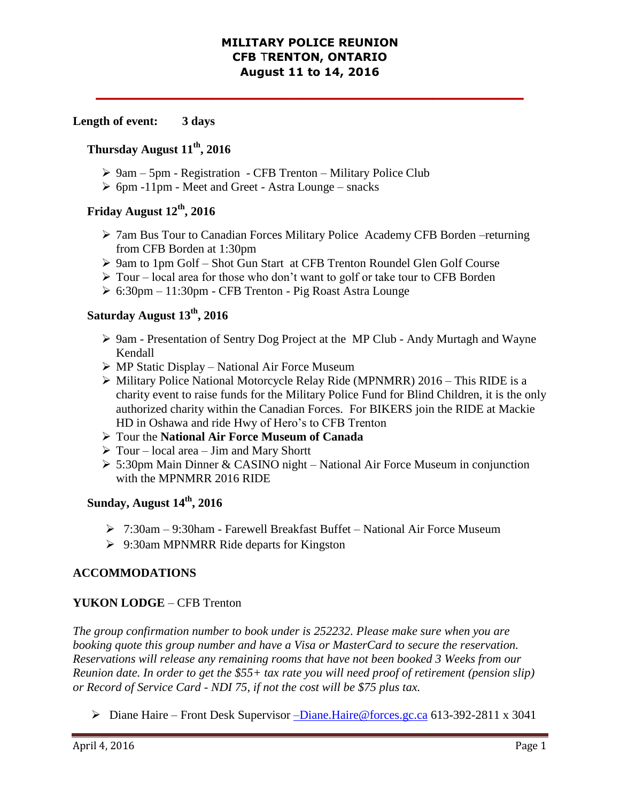#### **MILITARY POLICE REUNION CFB** T**RENTON, ONTARIO August 11 to 14, 2016**

**\_\_\_\_\_\_\_\_\_\_\_\_\_\_\_\_\_\_\_\_\_\_\_\_\_\_\_\_\_\_\_\_\_**

#### **Length of event: 3 days**

#### **Thursday August 11th, 2016**

- $\geq 9$ am 5pm Registration CFB Trenton Military Police Club
- $\triangleright$  6pm -11pm Meet and Greet Astra Lounge snacks

### **Friday August 12th, 2016**

- 7am Bus Tour to Canadian Forces Military Police Academy CFB Borden –returning from CFB Borden at 1:30pm
- 9am to 1pm Golf Shot Gun Start at CFB Trenton Roundel Glen Golf Course
- $\triangleright$  Tour local area for those who don't want to golf or take tour to CFB Borden
- 6:30pm 11:30pm CFB Trenton Pig Roast Astra Lounge

# **Saturday August 13th, 2016**

- 9am Presentation of Sentry Dog Project at the MP Club Andy Murtagh and Wayne Kendall
- MP Static Display National Air Force Museum
- $\triangleright$  Military Police National Motorcycle Relay Ride (MPNMRR) 2016 This RIDE is a charity event to raise funds for the Military Police Fund for Blind Children, it is the only authorized charity within the Canadian Forces. For BIKERS join the RIDE at Mackie HD in Oshawa and ride Hwy of Hero's to CFB Trenton
- Tour the **National Air Force Museum of Canada**
- $\triangleright$  Tour local area Jim and Mary Shortt
- 5:30pm Main Dinner & CASINO night National Air Force Museum in conjunction with the MPNMRR 2016 RIDE

## **Sunday, August 14th, 2016**

- 7:30am 9:30ham Farewell Breakfast Buffet National Air Force Museum
- 9:30am MPNMRR Ride departs for Kingston

### **ACCOMMODATIONS**

### **YUKON LODGE** – CFB Trenton

*The group confirmation number to book under is 252232. Please make sure when you are booking quote this group number and have a Visa or MasterCard to secure the reservation. Reservations will release any remaining rooms that have not been booked 3 Weeks from our Reunion date. In order to get the \$55+ tax rate you will need proof of retirement (pension slip) or Record of Service Card - NDI 75, if not the cost will be \$75 plus tax.*

Diane Haire – Front Desk Supervisor –[Diane.Haire@forces.gc.ca](mailto:–Diane.Haire@forces.gc.ca) 613-392-2811 x 3041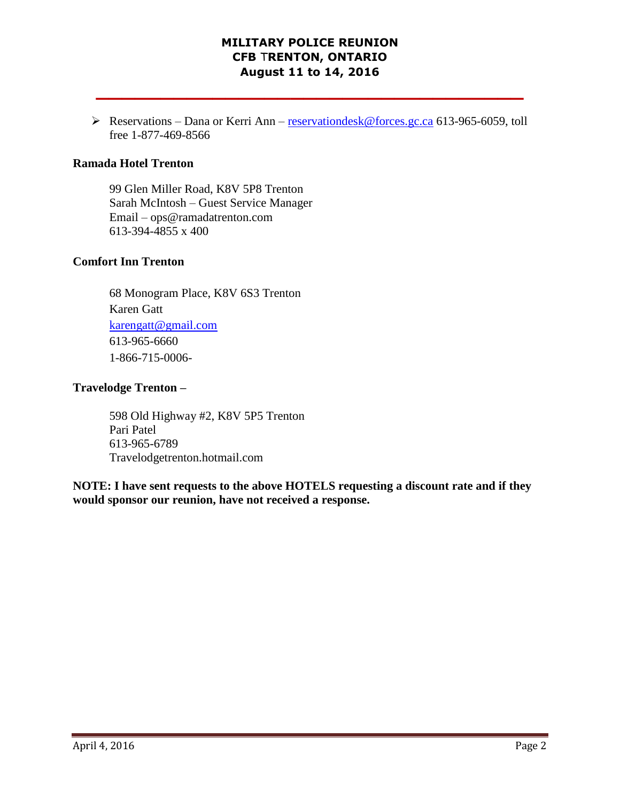## **MILITARY POLICE REUNION CFB** T**RENTON, ONTARIO August 11 to 14, 2016**

**\_\_\_\_\_\_\_\_\_\_\_\_\_\_\_\_\_\_\_\_\_\_\_\_\_\_\_\_\_\_\_\_\_**

Reservations – Dana or Kerri Ann – [reservationdesk@forces.gc.ca](mailto:reservationdesk@forces.gc.ca) 613-965-6059, toll free 1-877-469-8566

#### **Ramada Hotel Trenton**

99 Glen Miller Road, K8V 5P8 Trenton Sarah McIntosh – Guest Service Manager Email – ops@ramadatrenton.com 613-394-4855 x 400

#### **Comfort Inn Trenton**

68 Monogram Place, K8V 6S3 Trenton Karen Gatt [karengatt@gmail.com](mailto:karengatt@gmail.com) 613-965-6660 1-866-715-0006-

#### **Travelodge Trenton –**

598 Old Highway #2, K8V 5P5 Trenton Pari Patel 613-965-6789 Travelodgetrenton.hotmail.com

**NOTE: I have sent requests to the above HOTELS requesting a discount rate and if they would sponsor our reunion, have not received a response.**